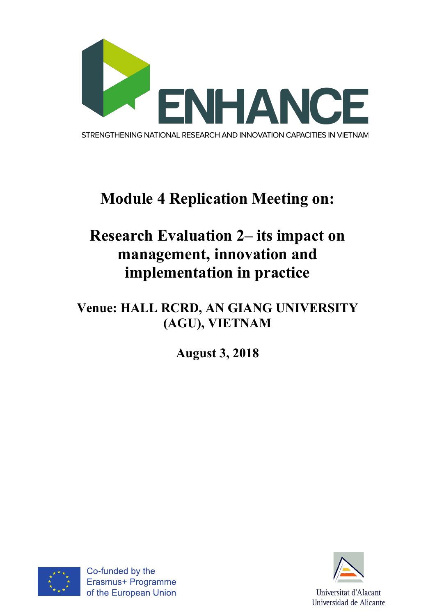

# **Module 4 Replication Meeting on:**

# **Research Evaluation 2– its impact on management, innovation and implementation in practice**

### **Venue: HALL RCRD, AN GIANG UNIVERSITY (AGU), VIETNAM**

**August 3, 2018**



Co-funded by the Erasmus+ Programme of the European Union

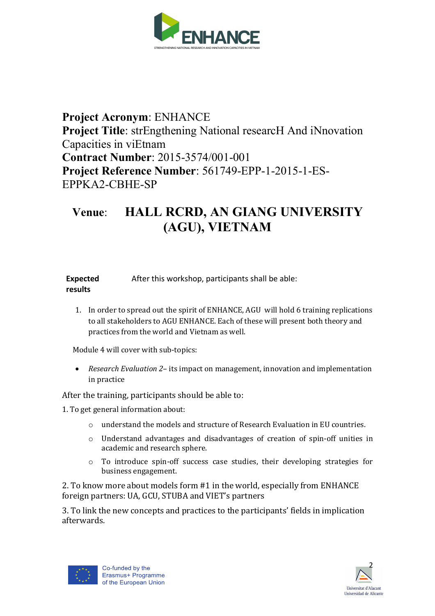

#### **Project Acronym**: ENHANCE **Project Title**: strEngthening National researcH And iNnovation Capacities in viEtnam **Contract Number**: 2015-3574/001-001 **Project Reference Number**: 561749-EPP-1-2015-1-ES-EPPKA2-CBHE-SP

### **Venue**: **HALL RCRD, AN GIANG UNIVERSITY (AGU), VIETNAM**

| <b>Expected</b> | After this workshop, participants shall be able: |
|-----------------|--------------------------------------------------|
| results         |                                                  |

1. In order to spread out the spirit of ENHANCE, AGU will hold 6 training replications to all stakeholders to AGU ENHANCE. Each of these will present both theory and practices from the world and Vietnam as well.

Module 4 will cover with sub-topics:

• *Research Evaluation 2*– its impact on management, innovation and implementation in practice

After the training, participants should be able to:

1. To get general information about:

- o understand the models and structure of Research Evaluation in EU countries.
- $\circ$  Understand advantages and disadvantages of creation of spin-off unities in academic and research sphere.
- $\circ$  To introduce spin-off success case studies, their developing strategies for business engagement.

2. To know more about models form #1 in the world, especially from ENHANCE foreign partners: UA, GCU, STUBA and VIET's partners

3. To link the new concepts and practices to the participants' fields in implication afterwards.